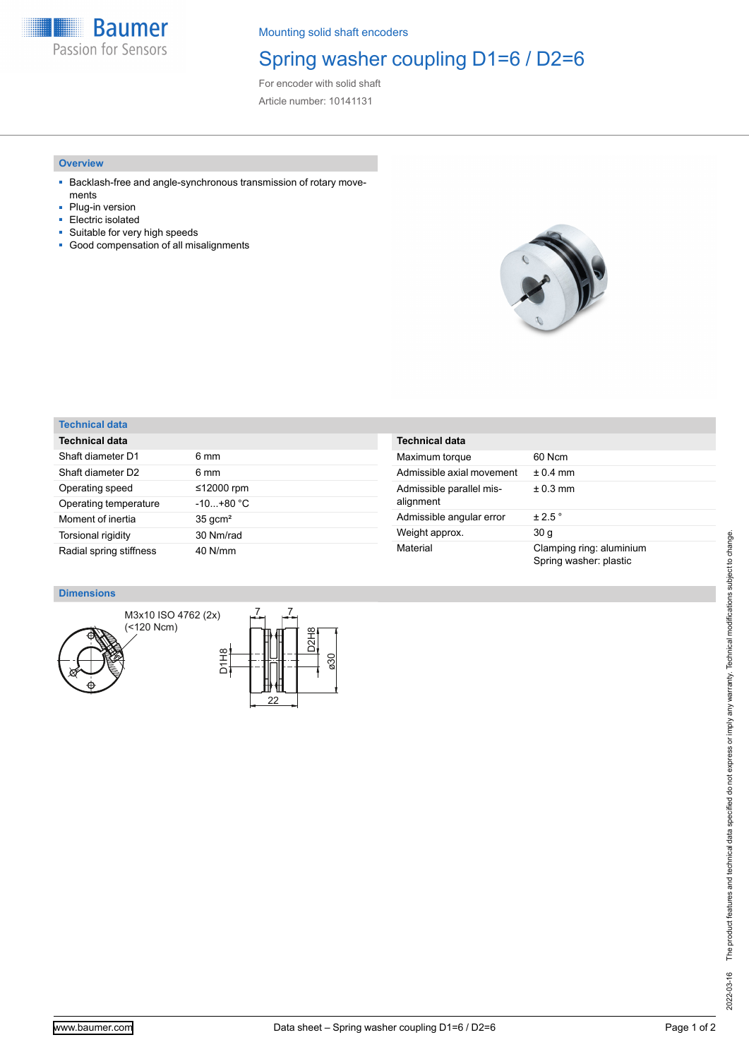**Baumer** Passion for Sensors

Mounting solid shaft encoders

## Spring washer coupling D1=6 / D2=6

For encoder with solid shaft Article number: 10141131

### **Overview**

- Backlash-free and angle-synchronous transmission of rotary movements
- Plug-in version
- Electric isolated
- Suitable for very high speeds
- Good compensation of all misalignments



## **Technical data**

| <b>Technical data</b>   |                    |
|-------------------------|--------------------|
| Shaft diameter D1       | 6 mm               |
| Shaft diameter D2       | 6 mm               |
| Operating speed         | ≤12000 rpm         |
| Operating temperature   | $-10+80 °C$        |
| Moment of inertia       | $35 \text{ qcm}^2$ |
| Torsional rigidity      | 30 Nm/rad          |
| Radial spring stiffness | 40 N/mm            |

| <b>Technical data</b>                 |                                                    |
|---------------------------------------|----------------------------------------------------|
| Maximum torque                        | 60 Ncm                                             |
| Admissible axial movement             | $+0.4$ mm                                          |
| Admissible parallel mis-<br>alignment | $± 0.3$ mm                                         |
| Admissible angular error              | $\pm 2.5$ $^{\circ}$                               |
| Weight approx.                        | 30 g                                               |
| Material                              | Clamping ring: aluminium<br>Spring washer: plastic |

#### **Dimensions**